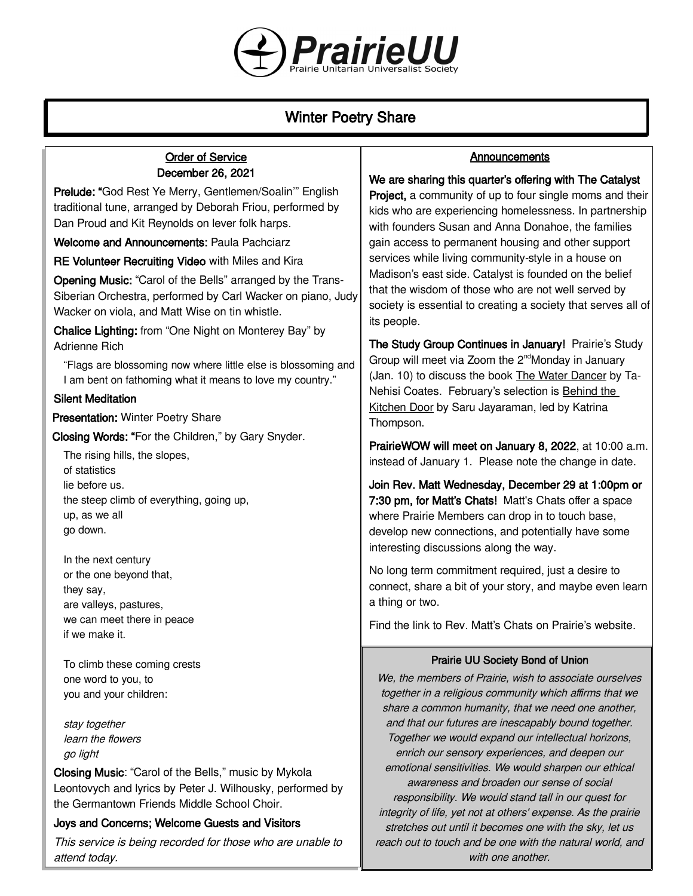

# Winter Poetry Share

its people.

## Order of Service December 26, 2021

Prelude: "God Rest Ye Merry, Gentlemen/Soalin'" English traditional tune, arranged by Deborah Friou, performed by Dan Proud and Kit Reynolds on lever folk harps.

Welcome and Announcements: Paula Pachciarz

RE Volunteer Recruiting Video with Miles and Kira

Opening Music: "Carol of the Bells" arranged by the Trans-Siberian Orchestra, performed by Carl Wacker on piano, Judy Wacker on viola, and Matt Wise on tin whistle.

Chalice Lighting: from "One Night on Monterey Bay" by Adrienne Rich

"Flags are blossoming now where little else is blossoming and I am bent on fathoming what it means to love my country."

## Silent Meditation

**Presentation: Winter Poetry Share** 

Closing Words: "For the Children," by Gary Snyder.

The rising hills, the slopes, of statistics lie before us. the steep climb of everything, going up, up, as we all go down.

In the next century or the one beyond that, they say, are valleys, pastures, we can meet there in peace if we make it.

To climb these coming crests one word to you, to you and your children:

stay together learn the flowers go light

Closing Music: "Carol of the Bells," music by Mykola Leontovych and lyrics by Peter J. Wilhousky, performed by the Germantown Friends Middle School Choir.

### Joys and Concerns; Welcome Guests and Visitors

This service is being recorded for those who are unable to attend today.

### **Announcements**

We are sharing this quarter's offering with The Catalyst Project, a community of up to four single moms and their kids who are experiencing homelessness. In partnership with founders Susan and Anna Donahoe, the families gain access to permanent housing and other support services while living community-style in a house on Madison's east side. Catalyst is founded on the belief that the wisdom of those who are not well served by society is essential to creating a society that serves all of

The Study Group Continues in January! Prairie's Study Group will meet via Zoom the 2<sup>nd</sup>Monday in January (Jan. 10) to discuss the book The Water Dancer by Ta-Nehisi Coates. February's selection is Behind the Kitchen Door by Saru Jayaraman, led by Katrina Thompson.

PrairieWOW will meet on January 8, 2022, at 10:00 a.m. instead of January 1. Please note the change in date.

Join Rev. Matt Wednesday, December 29 at 1:00pm or 7:30 pm, for Matt's Chats! Matt's Chats offer a space where Prairie Members can drop in to touch base, develop new connections, and potentially have some interesting discussions along the way.

No long term commitment required, just a desire to connect, share a bit of your story, and maybe even learn a thing or two.

Find the link to Rev. Matt's Chats [on Prairie's website](https://uuprairie.org/).

### Prairie UU Society Bond of Union

We, the members of Prairie, wish to associate ourselves together in a religious community which affirms that we share a common humanity, that we need one another, and that our futures are inescapably bound together. Together we would expand our intellectual horizons, enrich our sensory experiences, and deepen our emotional sensitivities. We would sharpen our ethical awareness and broaden our sense of social responsibility. We would stand tall in our quest for integrity of life, yet not at others' expense. As the prairie stretches out until it becomes one with the sky, let us reach out to touch and be one with the natural world, and with one another.